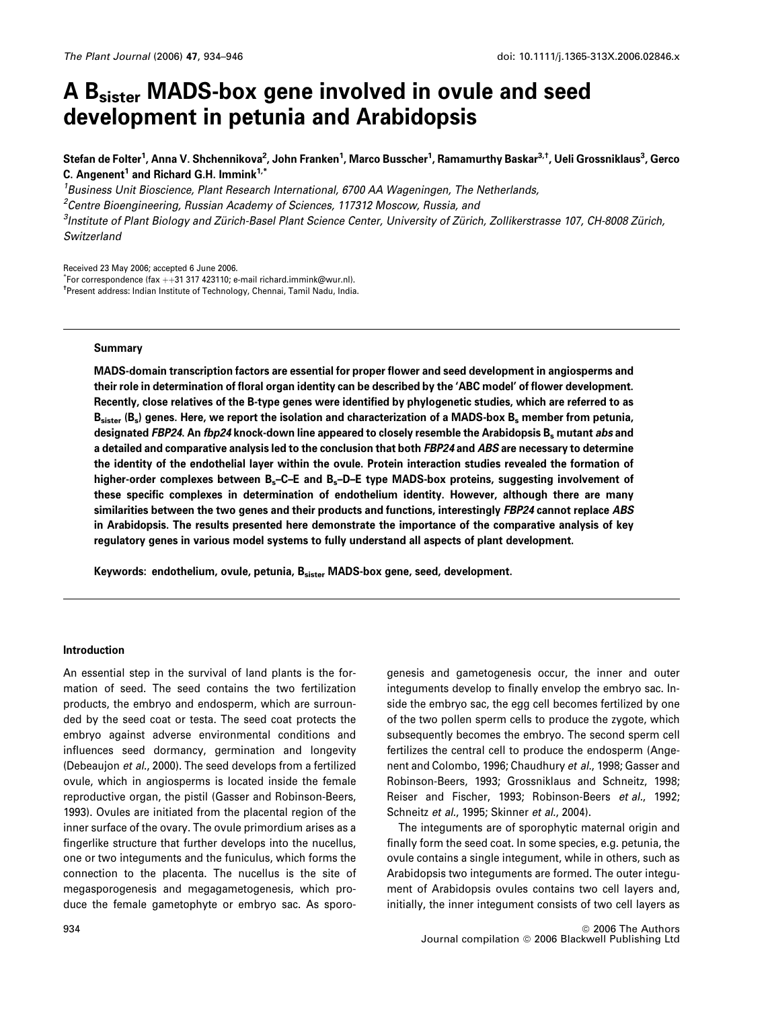# A Bsister MADS-box gene involved in ovule and seed development in petunia and Arabidopsis

Stefan de Folter<sup>1</sup>, Anna V. Shchennikova<sup>2</sup>, John Franken<sup>1</sup>, Marco Busscher<sup>1</sup>, Ramamurthy Baskar<sup>3,†</sup>, Ueli Grossniklaus<sup>3</sup>, Gerco C. Angenent<sup>1</sup> and Richard G.H. Immink<sup>1,\*</sup>

*<sup>1</sup>Business Unit Bioscience, Plant Research International, 6700 AA Wageningen, The Netherlands,*

*<sup>2</sup>Centre Bioengineering, Russian Academy of Sciences, 117312 Moscow, Russia, and*

<sup>3</sup>Institute of Plant Biology and Zürich-Basel Plant Science Center, University of Zürich, Zollikerstrasse 107, CH-8008 Zürich, *Switzerland*

Received 23 May 2006; accepted 6 June 2006.  $\check{}$ For correspondence (fax ++31 317 423110; e-mail richard.immink@wur.nl).

†Present address: Indian Institute of Technology, Chennai, Tamil Nadu, India.

# Summary

MADS-domain transcription factors are essential for proper flower and seed development in angiosperms and their role in determination of floral organ identity can be described by the 'ABC model' of flower development. Recently, close relatives of the B-type genes were identified by phylogenetic studies, which are referred to as  ${\sf B}_{\sf sister}$  ( ${\sf B}_s$ ) genes. Here, we report the isolation and characterization of a MADS-box  ${\sf B}_s$  member from petunia, designated FBP24. An fbp24 knock-down line appeared to closely resemble the Arabidopsis B<sub>s</sub> mutant abs and a detailed and comparative analysis led to the conclusion that both FBP24 and ABS are necessary to determine the identity of the endothelial layer within the ovule. Protein interaction studies revealed the formation of higher-order complexes between B<sub>s</sub>-C-E and B<sub>s</sub>-D-E type MADS-box proteins, suggesting involvement of these specific complexes in determination of endothelium identity. However, although there are many similarities between the two genes and their products and functions, interestingly FBP24 cannot replace ABS in Arabidopsis. The results presented here demonstrate the importance of the comparative analysis of key regulatory genes in various model systems to fully understand all aspects of plant development.

Keywords: endothelium, ovule, petunia, Bsister MADS-box gene, seed, development.

# Introduction

An essential step in the survival of land plants is the formation of seed. The seed contains the two fertilization products, the embryo and endosperm, which are surrounded by the seed coat or testa. The seed coat protects the embryo against adverse environmental conditions and influences seed dormancy, germination and longevity (Debeaujon *et al.*, 2000). The seed develops from a fertilized ovule, which in angiosperms is located inside the female reproductive organ, the pistil (Gasser and Robinson-Beers, 1993). Ovules are initiated from the placental region of the inner surface of the ovary. The ovule primordium arises as a fingerlike structure that further develops into the nucellus, one or two integuments and the funiculus, which forms the connection to the placenta. The nucellus is the site of megasporogenesis and megagametogenesis, which produce the female gametophyte or embryo sac. As sporogenesis and gametogenesis occur, the inner and outer integuments develop to finally envelop the embryo sac. Inside the embryo sac, the egg cell becomes fertilized by one of the two pollen sperm cells to produce the zygote, which subsequently becomes the embryo. The second sperm cell fertilizes the central cell to produce the endosperm (Angenent and Colombo, 1996; Chaudhury *et al.*, 1998; Gasser and Robinson-Beers, 1993; Grossniklaus and Schneitz, 1998; Reiser and Fischer, 1993; Robinson-Beers *et al.*, 1992; Schneitz *et al.*, 1995; Skinner *et al.*, 2004).

The integuments are of sporophytic maternal origin and finally form the seed coat. In some species, e.g. petunia, the ovule contains a single integument, while in others, such as Arabidopsis two integuments are formed. The outer integument of Arabidopsis ovules contains two cell layers and, initially, the inner integument consists of two cell layers as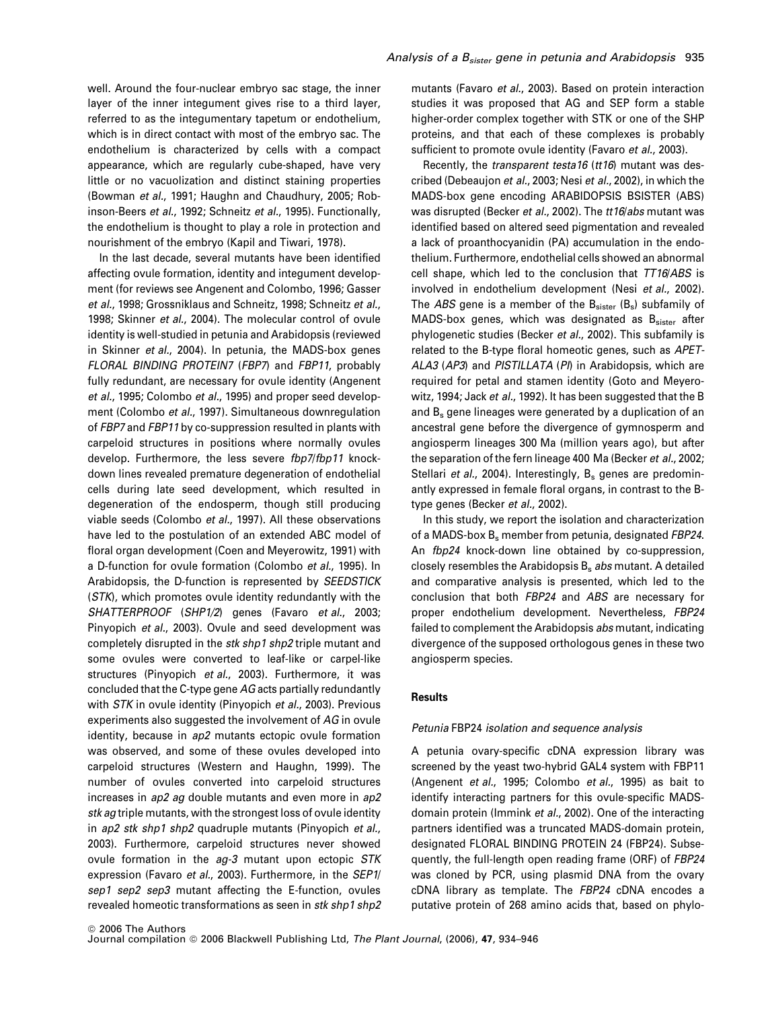well. Around the four-nuclear embryo sac stage, the inner layer of the inner integument gives rise to a third layer, referred to as the integumentary tapetum or endothelium, which is in direct contact with most of the embryo sac. The endothelium is characterized by cells with a compact appearance, which are regularly cube-shaped, have very little or no vacuolization and distinct staining properties (Bowman *et al.*, 1991; Haughn and Chaudhury, 2005; Robinson-Beers *et al.*, 1992; Schneitz *et al.*, 1995). Functionally, the endothelium is thought to play a role in protection and nourishment of the embryo (Kapil and Tiwari, 1978).

In the last decade, several mutants have been identified affecting ovule formation, identity and integument development (for reviews see Angenent and Colombo, 1996; Gasser *et al.*, 1998; Grossniklaus and Schneitz, 1998; Schneitz *et al.*, 1998; Skinner *et al.*, 2004). The molecular control of ovule identity is well-studied in petunia and Arabidopsis (reviewed in Skinner *et al.*, 2004). In petunia, the MADS-box genes *FLORAL BINDING PROTEIN7* (*FBP7*) and *FBP11*, probably fully redundant, are necessary for ovule identity (Angenent *et al.*, 1995; Colombo *et al.*, 1995) and proper seed development (Colombo *et al.*, 1997). Simultaneous downregulation of *FBP7* and *FBP11* by co-suppression resulted in plants with carpeloid structures in positions where normally ovules develop. Furthermore, the less severe *fbp7*/*fbp11* knockdown lines revealed premature degeneration of endothelial cells during late seed development, which resulted in degeneration of the endosperm, though still producing viable seeds (Colombo *et al.*, 1997). All these observations have led to the postulation of an extended ABC model of floral organ development (Coen and Meyerowitz, 1991) with a D-function for ovule formation (Colombo *et al.*, 1995). In Arabidopsis, the D-function is represented by *SEEDSTICK* (*STK*), which promotes ovule identity redundantly with the *SHATTERPROOF* (*SHP1/2*) genes (Favaro *et al.*, 2003; Pinyopich *et al.*, 2003). Ovule and seed development was completely disrupted in the *stk shp1 shp2* triple mutant and some ovules were converted to leaf-like or carpel-like structures (Pinyopich *et al.*, 2003). Furthermore, it was concluded that the C-type gene *AG* acts partially redundantly with *STK* in ovule identity (Pinyopich *et al.*, 2003). Previous experiments also suggested the involvement of *AG* in ovule identity, because in *ap2* mutants ectopic ovule formation was observed, and some of these ovules developed into carpeloid structures (Western and Haughn, 1999). The number of ovules converted into carpeloid structures increases in *ap2 ag* double mutants and even more in *ap2 stk ag* triple mutants, with the strongest loss of ovule identity in *ap2 stk shp1 shp2* quadruple mutants (Pinyopich *et al.*, 2003). Furthermore, carpeloid structures never showed ovule formation in the *ag-3* mutant upon ectopic *STK* expression (Favaro *et al.*, 2003). Furthermore, in the *SEP1*/ *sep1 sep2 sep3* mutant affecting the E-function, ovules revealed homeotic transformations as seen in *stk shp1 shp2* mutants (Favaro *et al.*, 2003). Based on protein interaction studies it was proposed that AG and SEP form a stable higher-order complex together with STK or one of the SHP proteins, and that each of these complexes is probably sufficient to promote ovule identity (Favaro *et al.*, 2003).

Recently, the *transparent testa16* (*tt16*) mutant was described (Debeaujon *et al.*, 2003; Nesi *et al.*, 2002), in which the MADS-box gene encoding ARABIDOPSIS BSISTER (ABS) was disrupted (Becker *et al.*, 2002). The *tt16*/*abs* mutant was identified based on altered seed pigmentation and revealed a lack of proanthocyanidin (PA) accumulation in the endothelium. Furthermore, endothelial cells showed an abnormal cell shape, which led to the conclusion that *TT16*/*ABS* is involved in endothelium development (Nesi *et al.*, 2002). The *ABS* gene is a member of the B<sub>sister</sub> (B<sub>s</sub>) subfamily of MADS-box genes, which was designated as  $B<sub>sister</sub>$  after phylogenetic studies (Becker *et al.*, 2002). This subfamily is related to the B-type floral homeotic genes, such as *APET-ALA3* (*AP3*) and *PISTILLATA* (*PI*) in Arabidopsis, which are required for petal and stamen identity (Goto and Meyerowitz, 1994; Jack *et al.*, 1992). It has been suggested that the B and B<sup>s</sup> gene lineages were generated by a duplication of an ancestral gene before the divergence of gymnosperm and angiosperm lineages 300 Ma (million years ago), but after the separation of the fern lineage 400 Ma (Becker *et al.*, 2002; Stellari *et al.*, 2004). Interestingly, B<sub>s</sub> genes are predominantly expressed in female floral organs, in contrast to the Btype genes (Becker *et al.*, 2002).

In this study, we report the isolation and characterization of a MADS-box B<sup>s</sup> member from petunia, designated *FBP24*. An *fbp24* knock-down line obtained by co-suppression, closely resembles the Arabidopsis B<sup>s</sup> *abs* mutant. A detailed and comparative analysis is presented, which led to the conclusion that both *FBP24* and *ABS* are necessary for proper endothelium development. Nevertheless, *FBP24* failed to complement the Arabidopsis *abs* mutant, indicating divergence of the supposed orthologous genes in these two angiosperm species.

# **Results**

# *Petunia* FBP24 *isolation and sequence analysis*

A petunia ovary-specific cDNA expression library was screened by the yeast two-hybrid GAL4 system with FBP11 (Angenent *et al.*, 1995; Colombo *et al.*, 1995) as bait to identify interacting partners for this ovule-specific MADSdomain protein (Immink *et al.*, 2002). One of the interacting partners identified was a truncated MADS-domain protein, designated FLORAL BINDING PROTEIN 24 (FBP24). Subsequently, the full-length open reading frame (ORF) of *FBP24* was cloned by PCR, using plasmid DNA from the ovary cDNA library as template. The *FBP24* cDNA encodes a putative protein of 268 amino acids that, based on phylo-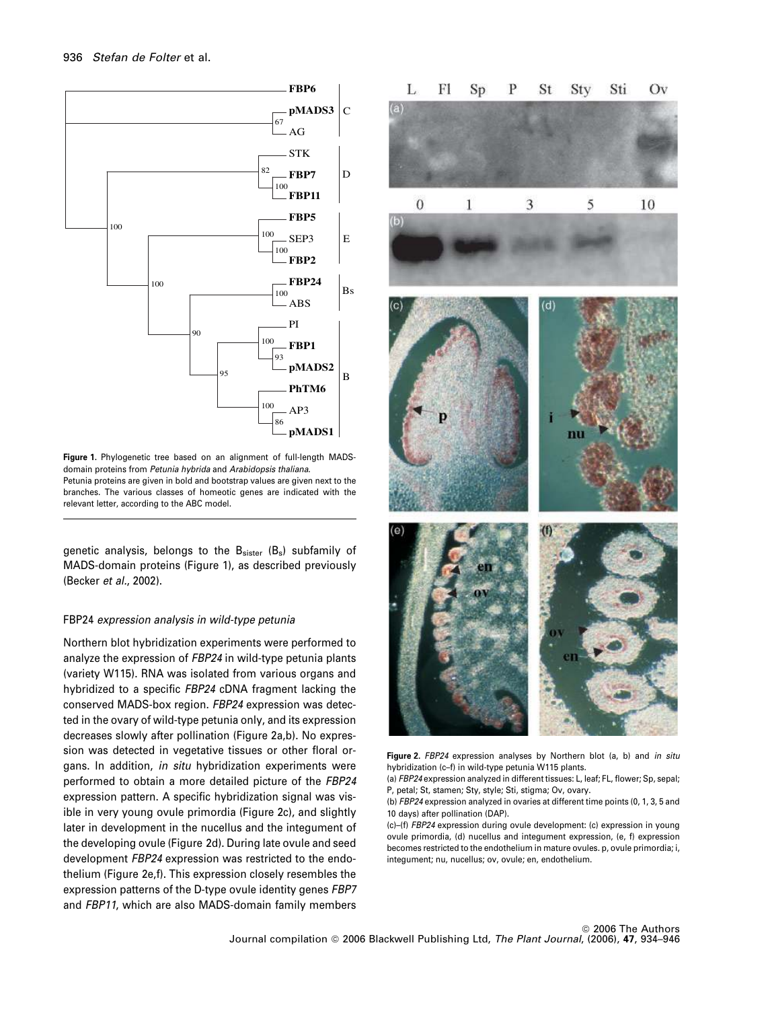

Figure 1. Phylogenetic tree based on an alignment of full-length MADSdomain proteins from *Petunia hybrida* and *Arabidopsis thaliana*. Petunia proteins are given in bold and bootstrap values are given next to the branches. The various classes of homeotic genes are indicated with the relevant letter, according to the ABC model.

genetic analysis, belongs to the B<sub>sister</sub> (B<sub>s</sub>) subfamily of MADS-domain proteins (Figure 1), as described previously (Becker *et al.*, 2002).

# FBP24 *expression analysis in wild-type petunia*

Northern blot hybridization experiments were performed to analyze the expression of *FBP24* in wild-type petunia plants (variety W115). RNA was isolated from various organs and hybridized to a specific *FBP24* cDNA fragment lacking the conserved MADS-box region. *FBP24* expression was detected in the ovary of wild-type petunia only, and its expression decreases slowly after pollination (Figure 2a,b). No expression was detected in vegetative tissues or other floral organs. In addition, *in situ* hybridization experiments were performed to obtain a more detailed picture of the *FBP24* expression pattern. A specific hybridization signal was visible in very young ovule primordia (Figure 2c), and slightly later in development in the nucellus and the integument of the developing ovule (Figure 2d). During late ovule and seed development *FBP24* expression was restricted to the endothelium (Figure 2e,f). This expression closely resembles the expression patterns of the D-type ovule identity genes *FBP7* and *FBP11*, which are also MADS-domain family members



Figure 2. *FBP24* expression analyses by Northern blot (a, b) and *in situ* hybridization (c–f) in wild-type petunia W115 plants.

(a) *FBP24* expression analyzed in different tissues: L, leaf; FL, flower; Sp, sepal; P, petal; St, stamen; Sty, style; Sti, stigma; Ov, ovary.

(b) *FBP24* expression analyzed in ovaries at different time points (0, 1, 3, 5 and 10 days) after pollination (DAP).

(c)–(f) *FBP24* expression during ovule development: (c) expression in young ovule primordia, (d) nucellus and integument expression, (e, f) expression becomes restricted to the endothelium in mature ovules. p, ovule primordia; i, integument; nu, nucellus; ov, ovule; en, endothelium.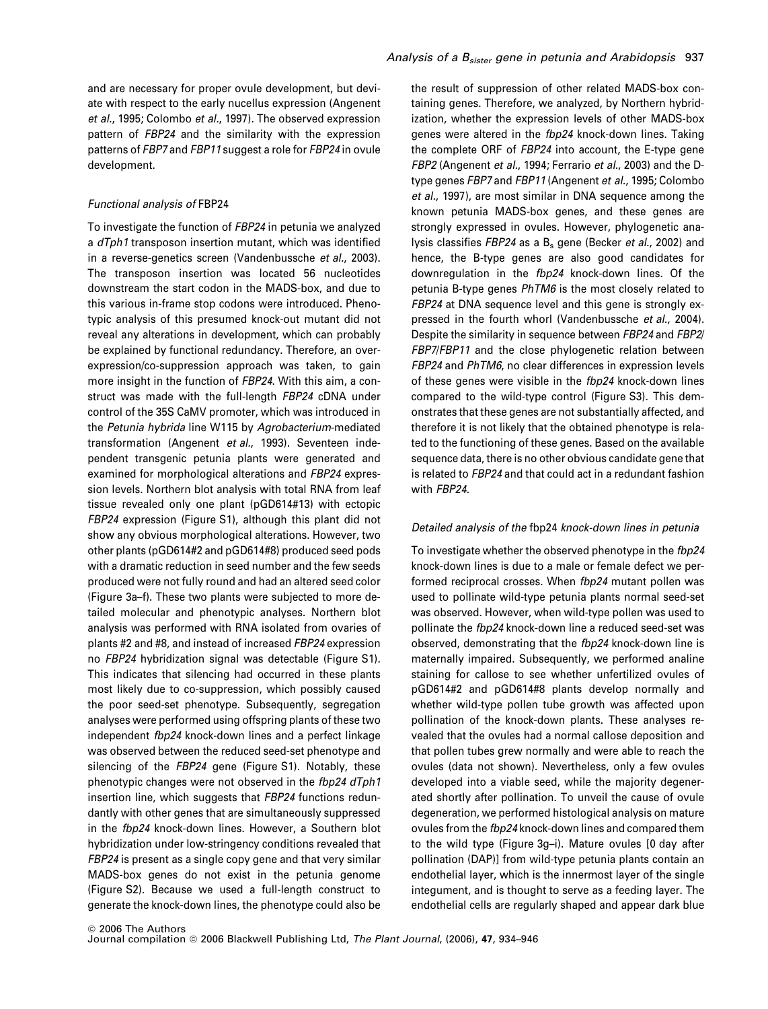and are necessary for proper ovule development, but deviate with respect to the early nucellus expression (Angenent *et al.*, 1995; Colombo *et al.*, 1997). The observed expression pattern of *FBP24* and the similarity with the expression patterns of *FBP7* and *FBP11* suggest a role for *FBP24* in ovule development.

# *Functional analysis of* FBP24

To investigate the function of *FBP24* in petunia we analyzed a *dTph1* transposon insertion mutant, which was identified in a reverse-genetics screen (Vandenbussche *et al.*, 2003). The transposon insertion was located 56 nucleotides downstream the start codon in the MADS-box, and due to this various in-frame stop codons were introduced. Phenotypic analysis of this presumed knock-out mutant did not reveal any alterations in development, which can probably be explained by functional redundancy. Therefore, an overexpression/co-suppression approach was taken, to gain more insight in the function of *FBP24*. With this aim, a construct was made with the full-length *FBP24* cDNA under control of the 35S CaMV promoter, which was introduced in the *Petunia hybrida* line W115 by *Agrobacterium*-mediated transformation (Angenent *et al.*, 1993). Seventeen independent transgenic petunia plants were generated and examined for morphological alterations and *FBP24* expression levels. Northern blot analysis with total RNA from leaf tissue revealed only one plant (pGD614#13) with ectopic *FBP24* expression (Figure S1), although this plant did not show any obvious morphological alterations. However, two other plants (pGD614#2 and pGD614#8) produced seed pods with a dramatic reduction in seed number and the few seeds produced were not fully round and had an altered seed color (Figure 3a–f). These two plants were subjected to more detailed molecular and phenotypic analyses. Northern blot analysis was performed with RNA isolated from ovaries of plants #2 and #8, and instead of increased *FBP24* expression no *FBP24* hybridization signal was detectable (Figure S1). This indicates that silencing had occurred in these plants most likely due to co-suppression, which possibly caused the poor seed-set phenotype. Subsequently, segregation analyses were performed using offspring plants of these two independent *fbp24* knock-down lines and a perfect linkage was observed between the reduced seed-set phenotype and silencing of the *FBP24* gene (Figure S1). Notably, these phenotypic changes were not observed in the *fbp24 dTph1* insertion line, which suggests that *FBP24* functions redundantly with other genes that are simultaneously suppressed in the *fbp24* knock-down lines. However, a Southern blot hybridization under low-stringency conditions revealed that *FBP24* is present as a single copy gene and that very similar MADS-box genes do not exist in the petunia genome (Figure S2). Because we used a full-length construct to generate the knock-down lines, the phenotype could also be

the result of suppression of other related MADS-box containing genes. Therefore, we analyzed, by Northern hybridization, whether the expression levels of other MADS-box genes were altered in the *fbp24* knock-down lines. Taking the complete ORF of *FBP24* into account, the E-type gene *FBP2* (Angenent *et al.*, 1994; Ferrario *et al.*, 2003) and the Dtype genes *FBP7* and *FBP11* (Angenent *et al.*, 1995; Colombo *et al.*, 1997), are most similar in DNA sequence among the known petunia MADS-box genes, and these genes are strongly expressed in ovules. However, phylogenetic analysis classifies *FBP24* as a B<sub>s</sub> gene (Becker *et al.*, 2002) and hence, the B-type genes are also good candidates for downregulation in the *fbp24* knock-down lines. Of the petunia B-type genes *PhTM6* is the most closely related to *FBP24* at DNA sequence level and this gene is strongly expressed in the fourth whorl (Vandenbussche *et al.*, 2004). Despite the similarity in sequence between *FBP24* and *FBP2*/ *FBP7*/*FBP11* and the close phylogenetic relation between *FBP24* and *PhTM6*, no clear differences in expression levels of these genes were visible in the *fbp24* knock-down lines compared to the wild-type control (Figure S3). This demonstrates that these genes are not substantially affected, and therefore it is not likely that the obtained phenotype is related to the functioning of these genes. Based on the available sequence data, there is no other obvious candidate gene that is related to *FBP24* and that could act in a redundant fashion with *FBP24.*

# *Detailed analysis of the* fbp24 *knock-down lines in petunia*

To investigate whether the observed phenotype in the *fbp24* knock-down lines is due to a male or female defect we performed reciprocal crosses. When *fbp24* mutant pollen was used to pollinate wild-type petunia plants normal seed-set was observed. However, when wild-type pollen was used to pollinate the *fbp24* knock-down line a reduced seed-set was observed, demonstrating that the *fbp24* knock-down line is maternally impaired. Subsequently, we performed analine staining for callose to see whether unfertilized ovules of pGD614#2 and pGD614#8 plants develop normally and whether wild-type pollen tube growth was affected upon pollination of the knock-down plants. These analyses revealed that the ovules had a normal callose deposition and that pollen tubes grew normally and were able to reach the ovules (data not shown). Nevertheless, only a few ovules developed into a viable seed, while the majority degenerated shortly after pollination. To unveil the cause of ovule degeneration, we performed histological analysis on mature ovules from the *fbp24* knock-down lines and compared them to the wild type (Figure 3g–i). Mature ovules [0 day after pollination (DAP)] from wild-type petunia plants contain an endothelial layer, which is the innermost layer of the single integument, and is thought to serve as a feeding layer. The endothelial cells are regularly shaped and appear dark blue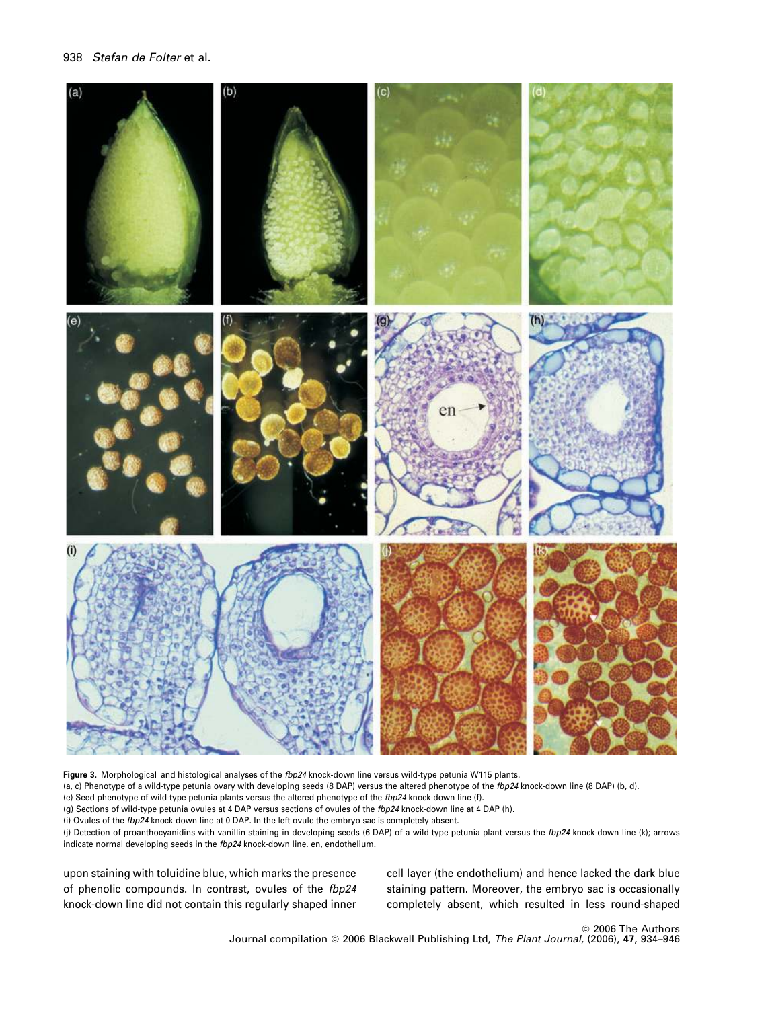

Figure 3. Morphological and histological analyses of the *fbp24* knock-down line versus wild-type petunia W115 plants.

(a, c) Phenotype of a wild-type petunia ovary with developing seeds (8 DAP) versus the altered phenotype of the *fbp24* knock-down line (8 DAP) (b, d).

(e) Seed phenotype of wild-type petunia plants versus the altered phenotype of the *fbp24* knock-down line (f).

(g) Sections of wild-type petunia ovules at 4 DAP versus sections of ovules of the *fbp24* knock-down line at 4 DAP (h).

(i) Ovules of the *fbp24* knock-down line at 0 DAP. In the left ovule the embryo sac is completely absent.

(j) Detection of proanthocyanidins with vanillin staining in developing seeds (6 DAP) of a wild-type petunia plant versus the *fbp24* knock-down line (k); arrows indicate normal developing seeds in the *fbp24* knock-down line. en, endothelium.

upon staining with toluidine blue, which marks the presence of phenolic compounds. In contrast, ovules of the *fbp24* knock-down line did not contain this regularly shaped inner cell layer (the endothelium) and hence lacked the dark blue staining pattern. Moreover, the embryo sac is occasionally completely absent, which resulted in less round-shaped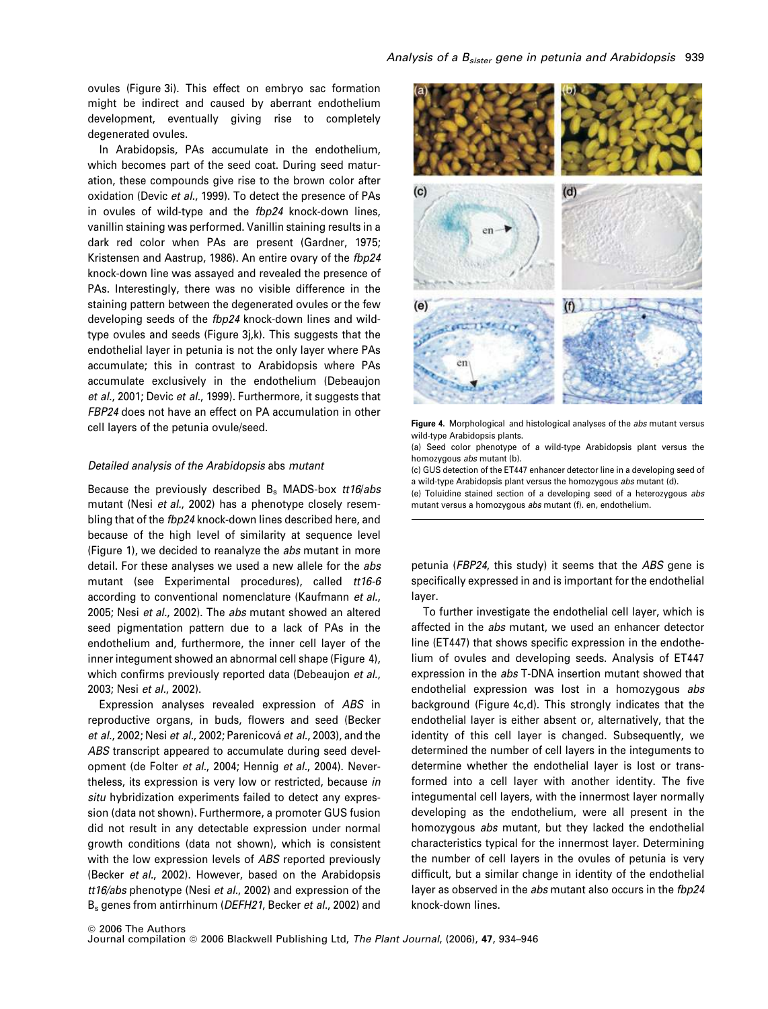ovules (Figure 3i). This effect on embryo sac formation might be indirect and caused by aberrant endothelium development, eventually giving rise to completely degenerated ovules.

In Arabidopsis, PAs accumulate in the endothelium, which becomes part of the seed coat. During seed maturation, these compounds give rise to the brown color after oxidation (Devic *et al.*, 1999). To detect the presence of PAs in ovules of wild-type and the *fbp24* knock-down lines, vanillin staining was performed. Vanillin staining results in a dark red color when PAs are present (Gardner, 1975; Kristensen and Aastrup, 1986). An entire ovary of the *fbp24* knock-down line was assayed and revealed the presence of PAs. Interestingly, there was no visible difference in the staining pattern between the degenerated ovules or the few developing seeds of the *fbp24* knock-down lines and wildtype ovules and seeds (Figure 3j,k). This suggests that the endothelial layer in petunia is not the only layer where PAs accumulate; this in contrast to Arabidopsis where PAs accumulate exclusively in the endothelium (Debeaujon *et al.*, 2001; Devic *et al.*, 1999). Furthermore, it suggests that *FBP24* does not have an effect on PA accumulation in other cell layers of the petunia ovule/seed.

# *Detailed analysis of the Arabidopsis* abs *mutant*

Because the previously described B<sup>s</sup> MADS-box *tt16*/*abs* mutant (Nesi *et al.*, 2002) has a phenotype closely resembling that of the *fbp24* knock-down lines described here, and because of the high level of similarity at sequence level (Figure 1), we decided to reanalyze the *abs* mutant in more detail. For these analyses we used a new allele for the *abs* mutant (see Experimental procedures), called *tt16-6* according to conventional nomenclature (Kaufmann *et al.*, 2005; Nesi *et al.*, 2002). The *abs* mutant showed an altered seed pigmentation pattern due to a lack of PAs in the endothelium and, furthermore, the inner cell layer of the inner integument showed an abnormal cell shape (Figure 4), which confirms previously reported data (Debeaujon *et al.*, 2003; Nesi *et al.*, 2002).

Expression analyses revealed expression of *ABS* in reproductive organs, in buds, flowers and seed (Becker *et al.*, 2002; Nesi *et al.*, 2002; Parenicová *et al.*, 2003), and the *ABS* transcript appeared to accumulate during seed development (de Folter *et al.*, 2004; Hennig *et al.*, 2004). Nevertheless, its expression is very low or restricted, because *in situ* hybridization experiments failed to detect any expression (data not shown). Furthermore, a promoter GUS fusion did not result in any detectable expression under normal growth conditions (data not shown), which is consistent with the low expression levels of *ABS* reported previously (Becker *et al.*, 2002). However, based on the Arabidopsis *tt16/abs* phenotype (Nesi *et al.*, 2002) and expression of the B<sup>s</sup> genes from antirrhinum (*DEFH21*, Becker *et al.*, 2002) and



Figure 4. Morphological and histological analyses of the *abs* mutant versus wild-type Arabidopsis plants.

(a) Seed color phenotype of a wild-type Arabidopsis plant versus the homozygous *abs* mutant (b).

(c) GUS detection of the ET447 enhancer detector line in a developing seed of a wild-type Arabidopsis plant versus the homozygous *abs* mutant (d).

(e) Toluidine stained section of a developing seed of a heterozygous *abs* mutant versus a homozygous *abs* mutant (f). en, endothelium.

petunia (*FBP24*, this study) it seems that the *ABS* gene is specifically expressed in and is important for the endothelial layer.

To further investigate the endothelial cell layer, which is affected in the *abs* mutant, we used an enhancer detector line (ET447) that shows specific expression in the endothelium of ovules and developing seeds. Analysis of ET447 expression in the *abs* T-DNA insertion mutant showed that endothelial expression was lost in a homozygous *abs* background (Figure 4c,d). This strongly indicates that the endothelial layer is either absent or, alternatively, that the identity of this cell layer is changed. Subsequently, we determined the number of cell layers in the integuments to determine whether the endothelial layer is lost or transformed into a cell layer with another identity. The five integumental cell layers, with the innermost layer normally developing as the endothelium, were all present in the homozygous *abs* mutant, but they lacked the endothelial characteristics typical for the innermost layer. Determining the number of cell layers in the ovules of petunia is very difficult, but a similar change in identity of the endothelial layer as observed in the *abs* mutant also occurs in the *fbp24* knock-down lines.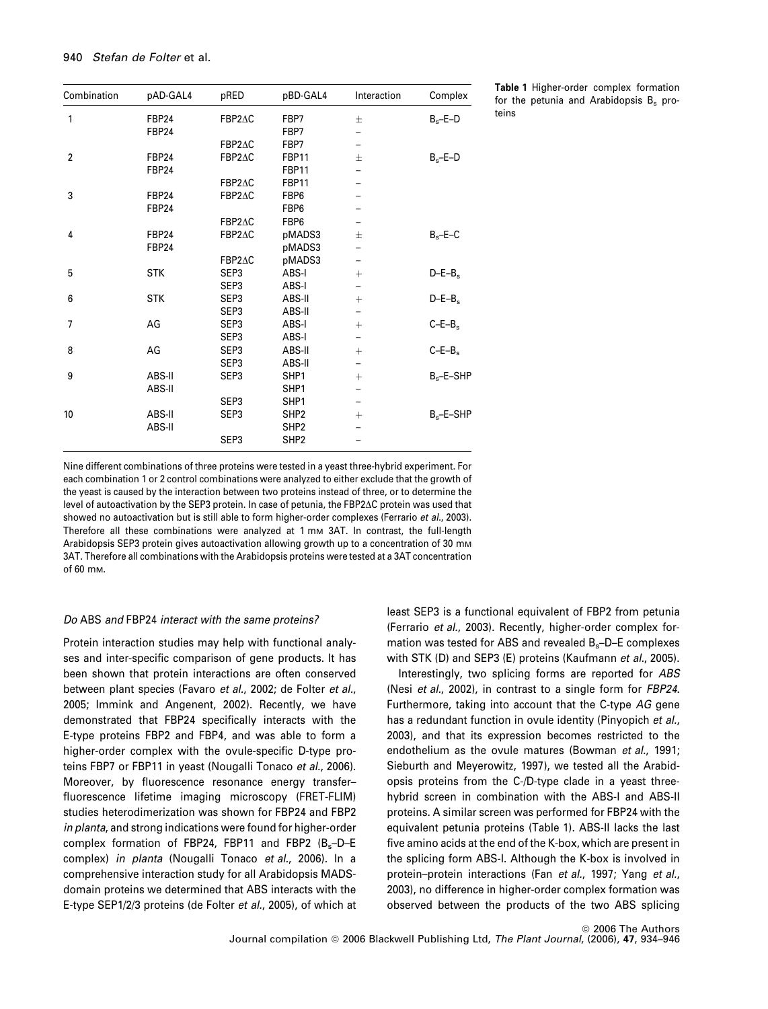| Combination    | pAD-GAL4     | pRED             | pBD-GAL4         | Interaction | Complex         |
|----------------|--------------|------------------|------------------|-------------|-----------------|
| 1              | <b>FBP24</b> | FBP2AC           | FBP7             | 士           | $B_s - E - D$   |
|                | <b>FBP24</b> |                  | FBP7             |             |                 |
|                |              | FBP2AC           | FBP7             | -           |                 |
| $\overline{2}$ | <b>FBP24</b> | FBP2AC           | <b>FBP11</b>     | $\pm$       | $B_s - E - D$   |
|                | FBP24        |                  | FBP11            |             |                 |
|                |              | FBP2AC           | <b>FBP11</b>     |             |                 |
| 3              | FBP24        | FBP2AC           | FBP6             |             |                 |
|                | FBP24        |                  | FBP6             |             |                 |
|                |              | FBP2AC           | FBP6             |             |                 |
| 4              | FBP24        | FBP2AC           | pMADS3           | $\pm$       | $B_s - E - C$   |
|                | <b>FBP24</b> |                  | pMADS3           |             |                 |
|                |              | FBP2AC           | pMADS3           |             |                 |
| 5              | <b>STK</b>   | SEP <sub>3</sub> | ABS-I            | $^{+}$      | $D-E-Bs$        |
|                |              | SEP <sub>3</sub> | ABS-I            |             |                 |
| 6              | <b>STK</b>   | SEP <sub>3</sub> | ABS-II           | $^{+}$      | $D-E-B_s$       |
|                |              | SEP <sub>3</sub> | ABS-II           |             |                 |
| $\overline{7}$ | AG           | SEP <sub>3</sub> | ABS-I            | $^{+}$      | $C-E-Bs$        |
|                |              | SEP <sub>3</sub> | ABS-I            |             |                 |
| 8              | AG           | SEP <sub>3</sub> | ABS-II           | $^{+}$      | $C-E-Bs$        |
|                |              | SEP <sub>3</sub> | ABS-II           |             |                 |
| 9              | ABS-II       | SEP <sub>3</sub> | SHP1             | $^{+}$      | $B_s - E - SHP$ |
|                | ABS-II       |                  | SHP1             |             |                 |
|                |              | SEP <sub>3</sub> | SHP1             |             |                 |
| 10             | ABS-II       | SEP <sub>3</sub> | SHP <sub>2</sub> | $^{+}$      | $B_s - E - SHP$ |
|                | ABS-II       |                  | SHP <sub>2</sub> |             |                 |
|                |              | SEP <sub>3</sub> | SHP <sub>2</sub> |             |                 |

Table 1 Higher-order complex formation for the petunia and Arabidopsis  $B_s$  proteins

Nine different combinations of three proteins were tested in a yeast three-hybrid experiment. For each combination 1 or 2 control combinations were analyzed to either exclude that the growth of the yeast is caused by the interaction between two proteins instead of three, or to determine the level of autoactivation by the SEP3 protein. In case of petunia, the FBP2 $\Delta C$  protein was used that showed no autoactivation but is still able to form higher-order complexes (Ferrario *et al.*, 2003). Therefore all these combinations were analyzed at 1 mm 3AT. In contrast, the full-length Arabidopsis SEP3 protein gives autoactivation allowing growth up to a concentration of 30 mm 3AT. Therefore all combinations with the Arabidopsis proteins were tested at a 3AT concentration of 60 mM.

# *Do* ABS *and* FBP24 *interact with the same proteins?*

Protein interaction studies may help with functional analyses and inter-specific comparison of gene products. It has been shown that protein interactions are often conserved between plant species (Favaro *et al.*, 2002; de Folter *et al.*, 2005; Immink and Angenent, 2002). Recently, we have demonstrated that FBP24 specifically interacts with the E-type proteins FBP2 and FBP4, and was able to form a higher-order complex with the ovule-specific D-type proteins FBP7 or FBP11 in yeast (Nougalli Tonaco *et al.*, 2006). Moreover, by fluorescence resonance energy transfer– fluorescence lifetime imaging microscopy (FRET-FLIM) studies heterodimerization was shown for FBP24 and FBP2 *in planta*, and strong indications were found for higher-order complex formation of FBP24, FBP11 and FBP2  $(B_s-D-E)$ complex) *in planta* (Nougalli Tonaco *et al.*, 2006). In a comprehensive interaction study for all Arabidopsis MADSdomain proteins we determined that ABS interacts with the E-type SEP1/2/3 proteins (de Folter *et al.*, 2005), of which at least SEP3 is a functional equivalent of FBP2 from petunia (Ferrario *et al.*, 2003). Recently, higher-order complex formation was tested for ABS and revealed B<sub>s</sub>-D-E complexes with STK (D) and SEP3 (E) proteins (Kaufmann *et al.*, 2005).

Interestingly, two splicing forms are reported for *ABS* (Nesi *et al.*, 2002), in contrast to a single form for *FBP24*. Furthermore, taking into account that the C-type *AG* gene has a redundant function in ovule identity (Pinyopich *et al.*, 2003), and that its expression becomes restricted to the endothelium as the ovule matures (Bowman *et al.*, 1991; Sieburth and Meyerowitz, 1997), we tested all the Arabidopsis proteins from the C-/D-type clade in a yeast threehybrid screen in combination with the ABS-I and ABS-II proteins. A similar screen was performed for FBP24 with the equivalent petunia proteins (Table 1). ABS-II lacks the last five amino acids at the end of the K-box, which are present in the splicing form ABS-I. Although the K-box is involved in protein–protein interactions (Fan *et al.*, 1997; Yang *et al.*, 2003), no difference in higher-order complex formation was observed between the products of the two ABS splicing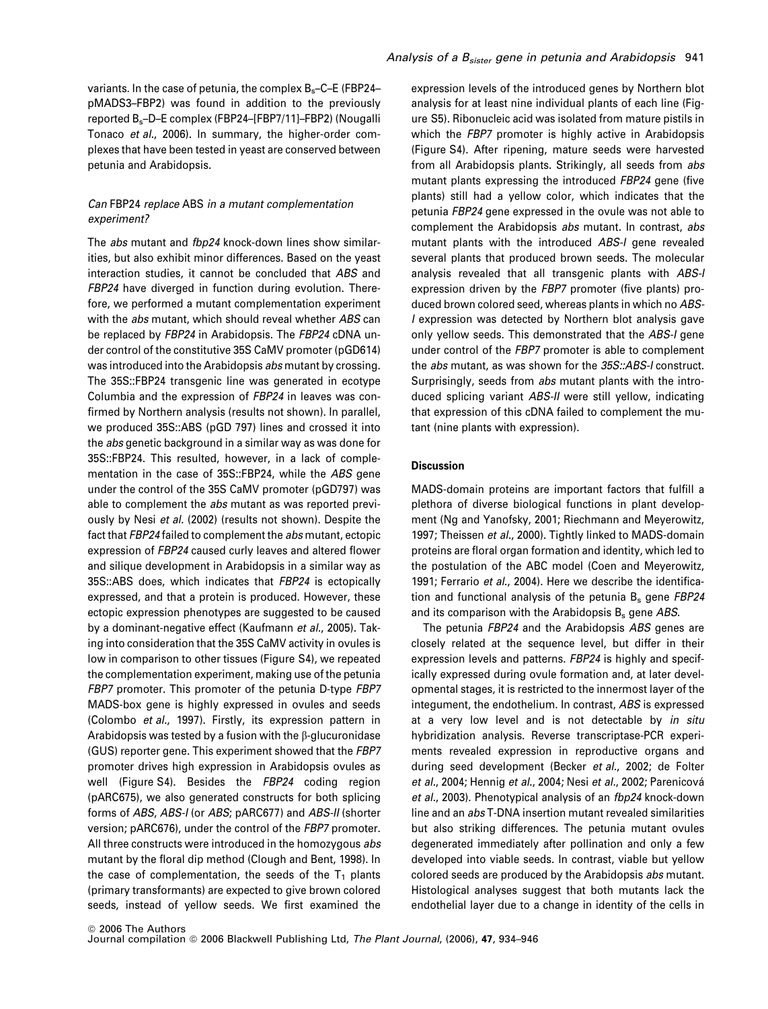variants. In the case of petunia, the complex B<sub>s</sub>-C-E (FBP24pMADS3–FBP2) was found in addition to the previously reported Bs–D–E complex (FBP24–[FBP7/11]–FBP2) (Nougalli Tonaco *et al.*, 2006). In summary, the higher-order complexes that have been tested in yeast are conserved between petunia and Arabidopsis.

# *Can* FBP24 *replace* ABS *in a mutant complementation experiment?*

The *abs* mutant and *fbp24* knock-down lines show similarities, but also exhibit minor differences. Based on the yeast interaction studies, it cannot be concluded that *ABS* and *FBP24* have diverged in function during evolution. Therefore, we performed a mutant complementation experiment with the *abs* mutant, which should reveal whether *ABS* can be replaced by *FBP24* in Arabidopsis. The *FBP24* cDNA under control of the constitutive 35S CaMV promoter (pGD614) was introduced into the Arabidopsis *abs* mutant by crossing. The 35S::FBP24 transgenic line was generated in ecotype Columbia and the expression of *FBP24* in leaves was confirmed by Northern analysis (results not shown). In parallel, we produced 35S::ABS (pGD 797) lines and crossed it into the *abs* genetic background in a similar way as was done for 35S::FBP24. This resulted, however, in a lack of complementation in the case of 35S::FBP24, while the *ABS* gene under the control of the 35S CaMV promoter (pGD797) was able to complement the *abs* mutant as was reported previously by Nesi *et al.* (2002) (results not shown). Despite the fact that *FBP24* failed to complement the *abs* mutant, ectopic expression of *FBP24* caused curly leaves and altered flower and silique development in Arabidopsis in a similar way as 35S::ABS does, which indicates that *FBP24* is ectopically expressed, and that a protein is produced. However, these ectopic expression phenotypes are suggested to be caused by a dominant-negative effect (Kaufmann *et al.*, 2005). Taking into consideration that the 35S CaMV activity in ovules is low in comparison to other tissues (Figure S4), we repeated the complementation experiment, making use of the petunia *FBP7* promoter. This promoter of the petunia D-type *FBP7* MADS-box gene is highly expressed in ovules and seeds (Colombo *et al.*, 1997). Firstly, its expression pattern in Arabidopsis was tested by a fusion with the  $\beta$ -glucuronidase (GUS) reporter gene. This experiment showed that the *FBP7* promoter drives high expression in Arabidopsis ovules as well (Figure S4). Besides the *FBP24* coding region (pARC675), we also generated constructs for both splicing forms of *ABS*, *ABS-I* (or *ABS*; pARC677) and *ABS-II* (shorter version; pARC676), under the control of the *FBP7* promoter. All three constructs were introduced in the homozygous *abs* mutant by the floral dip method (Clough and Bent, 1998). In the case of complementation, the seeds of the  $T_1$  plants (primary transformants) are expected to give brown colored seeds, instead of yellow seeds. We first examined the

expression levels of the introduced genes by Northern blot analysis for at least nine individual plants of each line (Figure S5). Ribonucleic acid was isolated from mature pistils in which the *FBP7* promoter is highly active in Arabidopsis (Figure S4). After ripening, mature seeds were harvested from all Arabidopsis plants. Strikingly, all seeds from *abs* mutant plants expressing the introduced *FBP24* gene (five plants) still had a yellow color, which indicates that the petunia *FBP24* gene expressed in the ovule was not able to complement the Arabidopsis *abs* mutant. In contrast, *abs* mutant plants with the introduced *ABS-I* gene revealed several plants that produced brown seeds. The molecular analysis revealed that all transgenic plants with *ABS-I* expression driven by the *FBP7* promoter (five plants) produced brown colored seed, whereas plants in which no *ABS-I* expression was detected by Northern blot analysis gave only yellow seeds. This demonstrated that the *ABS-I* gene under control of the *FBP7* promoter is able to complement the *abs* mutant, as was shown for the *35S::ABS-I* construct. Surprisingly, seeds from *abs* mutant plants with the introduced splicing variant *ABS-II* were still yellow, indicating that expression of this cDNA failed to complement the mutant (nine plants with expression).

# **Discussion**

MADS-domain proteins are important factors that fulfill a plethora of diverse biological functions in plant development (Ng and Yanofsky, 2001; Riechmann and Meyerowitz, 1997; Theissen *et al.*, 2000). Tightly linked to MADS-domain proteins are floral organ formation and identity, which led to the postulation of the ABC model (Coen and Meyerowitz, 1991; Ferrario *et al.*, 2004). Here we describe the identification and functional analysis of the petunia B<sub>s</sub> gene *FBP24* and its comparison with the Arabidopsis B<sup>s</sup> gene *ABS*.

The petunia *FBP24* and the Arabidopsis *ABS* genes are closely related at the sequence level, but differ in their expression levels and patterns. *FBP24* is highly and specifically expressed during ovule formation and, at later developmental stages, it is restricted to the innermost layer of the integument, the endothelium. In contrast, *ABS* is expressed at a very low level and is not detectable by *in situ* hybridization analysis. Reverse transcriptase-PCR experiments revealed expression in reproductive organs and during seed development (Becker *et al.*, 2002; de Folter *et al.*, 2004; Hennig *et al.*, 2004; Nesi *et al.*, 2002; Parenicova´ *et al.*, 2003). Phenotypical analysis of an *fbp24* knock-down line and an *abs* T-DNA insertion mutant revealed similarities but also striking differences. The petunia mutant ovules degenerated immediately after pollination and only a few developed into viable seeds. In contrast, viable but yellow colored seeds are produced by the Arabidopsis *abs* mutant. Histological analyses suggest that both mutants lack the endothelial layer due to a change in identity of the cells in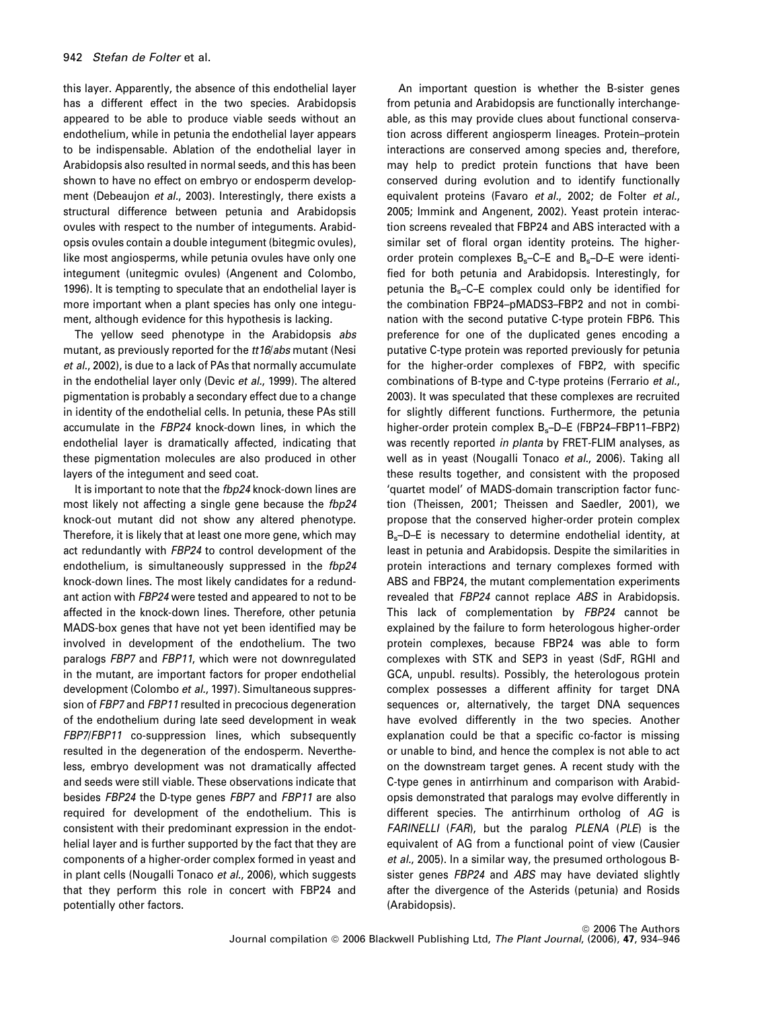this layer. Apparently, the absence of this endothelial layer has a different effect in the two species. Arabidopsis appeared to be able to produce viable seeds without an endothelium, while in petunia the endothelial layer appears to be indispensable. Ablation of the endothelial layer in Arabidopsis also resulted in normal seeds, and this has been shown to have no effect on embryo or endosperm development (Debeaujon *et al.*, 2003). Interestingly, there exists a structural difference between petunia and Arabidopsis ovules with respect to the number of integuments. Arabidopsis ovules contain a double integument (bitegmic ovules), like most angiosperms, while petunia ovules have only one integument (unitegmic ovules) (Angenent and Colombo, 1996). It is tempting to speculate that an endothelial layer is more important when a plant species has only one integument, although evidence for this hypothesis is lacking.

The yellow seed phenotype in the Arabidopsis *abs* mutant, as previously reported for the *tt16*/*abs* mutant (Nesi *et al.*, 2002), is due to a lack of PAs that normally accumulate in the endothelial layer only (Devic *et al.*, 1999). The altered pigmentation is probably a secondary effect due to a change in identity of the endothelial cells. In petunia, these PAs still accumulate in the *FBP24* knock-down lines, in which the endothelial layer is dramatically affected, indicating that these pigmentation molecules are also produced in other layers of the integument and seed coat.

It is important to note that the *fbp24* knock-down lines are most likely not affecting a single gene because the *fbp24* knock-out mutant did not show any altered phenotype. Therefore, it is likely that at least one more gene, which may act redundantly with *FBP24* to control development of the endothelium, is simultaneously suppressed in the *fbp24* knock-down lines. The most likely candidates for a redundant action with *FBP24* were tested and appeared to not to be affected in the knock-down lines. Therefore, other petunia MADS-box genes that have not yet been identified may be involved in development of the endothelium. The two paralogs *FBP7* and *FBP11*, which were not downregulated in the mutant, are important factors for proper endothelial development (Colombo *et al.*, 1997). Simultaneous suppression of *FBP7* and *FBP11* resulted in precocious degeneration of the endothelium during late seed development in weak *FBP7*/*FBP11* co-suppression lines, which subsequently resulted in the degeneration of the endosperm. Nevertheless, embryo development was not dramatically affected and seeds were still viable. These observations indicate that besides *FBP24* the D-type genes *FBP7* and *FBP11* are also required for development of the endothelium. This is consistent with their predominant expression in the endothelial layer and is further supported by the fact that they are components of a higher-order complex formed in yeast and in plant cells (Nougalli Tonaco *et al.*, 2006), which suggests that they perform this role in concert with FBP24 and potentially other factors.

An important question is whether the B-sister genes from petunia and Arabidopsis are functionally interchangeable, as this may provide clues about functional conservation across different angiosperm lineages. Protein–protein interactions are conserved among species and, therefore, may help to predict protein functions that have been conserved during evolution and to identify functionally equivalent proteins (Favaro *et al.*, 2002; de Folter *et al.*, 2005; Immink and Angenent, 2002). Yeast protein interaction screens revealed that FBP24 and ABS interacted with a similar set of floral organ identity proteins. The higherorder protein complexes Bs–C–E and Bs–D–E were identified for both petunia and Arabidopsis. Interestingly, for petunia the  $B_s-C-E$  complex could only be identified for the combination FBP24–pMADS3–FBP2 and not in combination with the second putative C-type protein FBP6. This preference for one of the duplicated genes encoding a putative C-type protein was reported previously for petunia for the higher-order complexes of FBP2, with specific combinations of B-type and C-type proteins (Ferrario *et al.*, 2003). It was speculated that these complexes are recruited for slightly different functions. Furthermore, the petunia higher-order protein complex Bs–D–E (FBP24–FBP11–FBP2) was recently reported *in planta* by FRET-FLIM analyses, as well as in yeast (Nougalli Tonaco *et al.*, 2006). Taking all these results together, and consistent with the proposed 'quartet model' of MADS-domain transcription factor function (Theissen, 2001; Theissen and Saedler, 2001), we propose that the conserved higher-order protein complex Bs–D–E is necessary to determine endothelial identity, at least in petunia and Arabidopsis. Despite the similarities in protein interactions and ternary complexes formed with ABS and FBP24, the mutant complementation experiments revealed that *FBP24* cannot replace *ABS* in Arabidopsis. This lack of complementation by *FBP24* cannot be explained by the failure to form heterologous higher-order protein complexes, because FBP24 was able to form complexes with STK and SEP3 in yeast (SdF, RGHI and GCA, unpubl. results). Possibly, the heterologous protein complex possesses a different affinity for target DNA sequences or, alternatively, the target DNA sequences have evolved differently in the two species. Another explanation could be that a specific co-factor is missing or unable to bind, and hence the complex is not able to act on the downstream target genes. A recent study with the C-type genes in antirrhinum and comparison with Arabidopsis demonstrated that paralogs may evolve differently in different species. The antirrhinum ortholog of *AG* is *FARINELLI* (*FAR*), but the paralog *PLENA* (*PLE*) is the equivalent of AG from a functional point of view (Causier *et al.*, 2005). In a similar way, the presumed orthologous Bsister genes *FBP24* and *ABS* may have deviated slightly after the divergence of the Asterids (petunia) and Rosids (Arabidopsis).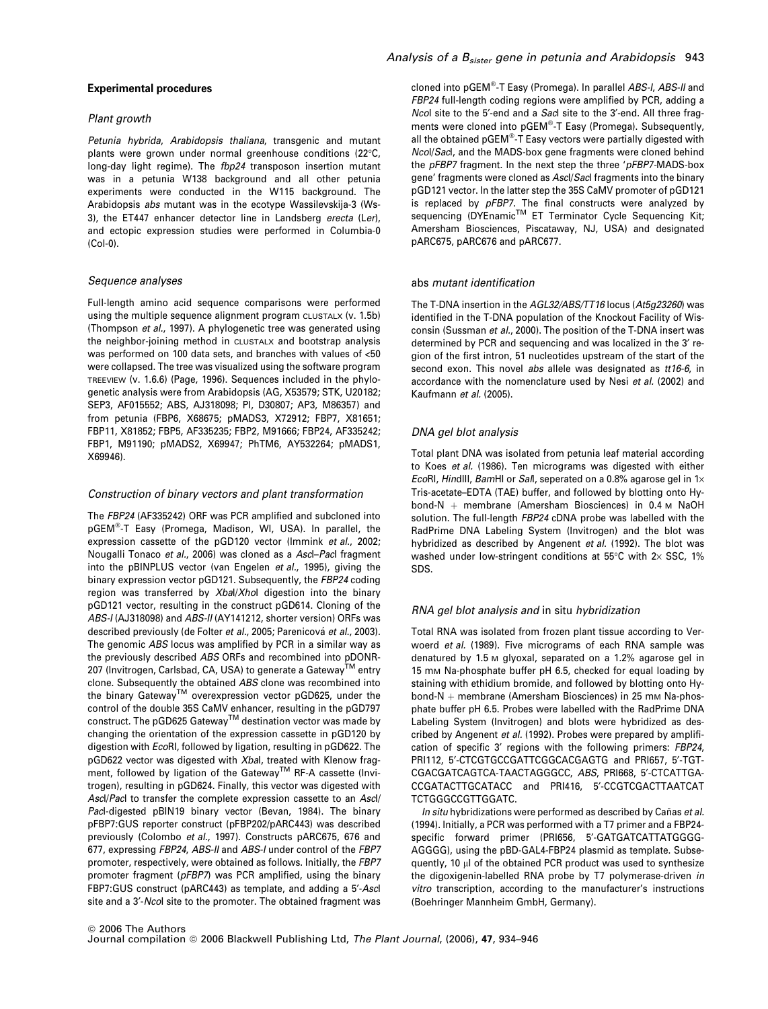# Experimental procedures

#### *Plant growth*

*Petunia hybrida*, *Arabidopsis thaliana*, transgenic and mutant plants were grown under normal greenhouse conditions (22°C, long-day light regime). The *fbp24* transposon insertion mutant was in a petunia W138 background and all other petunia experiments were conducted in the W115 background. The Arabidopsis *abs* mutant was in the ecotype Wassilevskija-3 (Ws-3), the ET447 enhancer detector line in Landsberg *erecta* (L*er*), and ectopic expression studies were performed in Columbia-0 (Col-0).

#### *Sequence analyses*

Full-length amino acid sequence comparisons were performed using the multiple sequence alignment program CLUSTALX (v. 1.5b) (Thompson *et al.*, 1997). A phylogenetic tree was generated using the neighbor-joining method in CLUSTALX and bootstrap analysis was performed on 100 data sets, and branches with values of <50 were collapsed. The tree was visualized using the software program TREEVIEW (v. 1.6.6) (Page, 1996). Sequences included in the phylogenetic analysis were from Arabidopsis (AG, X53579; STK, U20182; SEP3, AF015552; ABS, AJ318098; PI, D30807; AP3, M86357) and from petunia (FBP6, X68675; pMADS3, X72912; FBP7, X81651; FBP11, X81852; FBP5, AF335235; FBP2, M91666; FBP24, AF335242; FBP1, M91190; pMADS2, X69947; PhTM6, AY532264; pMADS1, X69946).

#### *Construction of binary vectors and plant transformation*

The *FBP24* (AF335242) ORF was PCR amplified and subcloned into pGEM®-T Easy (Promega, Madison, WI, USA). In parallel, the expression cassette of the pGD120 vector (Immink *et al.*, 2002; Nougalli Tonaco *et al.*, 2006) was cloned as a *Asc*I–*Pac*I fragment into the pBINPLUS vector (van Engelen *et al.*, 1995), giving the binary expression vector pGD121. Subsequently, the *FBP24* coding region was transferred by *Xba*I/*Xho*I digestion into the binary pGD121 vector, resulting in the construct pGD614. Cloning of the *ABS-I* (AJ318098) and *ABS-II* (AY141212, shorter version) ORFs was described previously (de Folter *et al.*, 2005; Parenicová *et al.*, 2003). The genomic *ABS* locus was amplified by PCR in a similar way as the previously described *ABS* ORFs and recombined into pDONR-207 (Invitrogen, Carlsbad, CA, USA) to generate a Gateway<sup>TM</sup> entry clone. Subsequently the obtained *ABS* clone was recombined into the binary Gateway™ overexpression vector pGD625, under the control of the double 35S CaMV enhancer, resulting in the pGD797 construct. The pGD625 Gateway™ destination vector was made by changing the orientation of the expression cassette in pGD120 by digestion with *Eco*RI, followed by ligation, resulting in pGD622. The pGD622 vector was digested with *Xba*I, treated with Klenow fragment, followed by ligation of the Gateway™ RF-A cassette (Invitrogen), resulting in pGD624. Finally, this vector was digested with *Asc*I/*Pac*I to transfer the complete expression cassette to an *Asc*I/ *Pac*I-digested pBIN19 binary vector (Bevan, 1984). The binary pFBP7:GUS reporter construct (pFBP202/pARC443) was described previously (Colombo *et al.*, 1997). Constructs pARC675, 676 and 677, expressing *FBP24*, *ABS-II* and *ABS-I* under control of the *FBP7* promoter, respectively, were obtained as follows. Initially, the *FBP7* promoter fragment (*pFBP7*) was PCR amplified, using the binary FBP7:GUS construct (pARC443) as template, and adding a 5¢-*Asc*I site and a 3¢-*Nco*I site to the promoter. The obtained fragment was

cloned into pGEM<sup>®</sup>-T Easy (Promega). In parallel *ABS-I, ABS-II* and *FBP24* full-length coding regions were amplified by PCR, adding a *Ncol* site to the 5'-end and a *Sacl* site to the 3'-end. All three fragments were cloned into pGEM®-T Easy (Promega). Subsequently, all the obtained pGEM®-T Easy vectors were partially digested with *Nco*I/*Sac*I, and the MADS-box gene fragments were cloned behind the *pFBP7* fragment. In the next step the three '*pFBP7-*MADS-box gene' fragments were cloned as *Asc*I/*Sac*I fragments into the binary pGD121 vector. In the latter step the 35S CaMV promoter of pGD121 is replaced by *pFBP7*. The final constructs were analyzed by sequencing (DYEnamic<sup>™</sup> ET Terminator Cycle Sequencing Kit; Amersham Biosciences, Piscataway, NJ, USA) and designated pARC675, pARC676 and pARC677.

# abs *mutant identification*

The T-DNA insertion in the *AGL32/ABS/TT16* locus (*At5g23260*) was identified in the T-DNA population of the Knockout Facility of Wisconsin (Sussman *et al.*, 2000). The position of the T-DNA insert was determined by PCR and sequencing and was localized in the 3' region of the first intron, 51 nucleotides upstream of the start of the second exon. This novel *abs* allele was designated as *tt16-6*, in accordance with the nomenclature used by Nesi *et al.* (2002) and Kaufmann *et al.* (2005).

# *DNA gel blot analysis*

Total plant DNA was isolated from petunia leaf material according to Koes *et al.* (1986). Ten micrograms was digested with either *EcoRI, HindIII, BamHI or Sall, seperated on a 0.8% agarose gel in 1×* Tris-acetate–EDTA (TAE) buffer, and followed by blotting onto Hybond-N  $+$  membrane (Amersham Biosciences) in 0.4 M NaOH solution. The full-length *FBP24* cDNA probe was labelled with the RadPrime DNA Labeling System (Invitrogen) and the blot was hybridized as described by Angenent *et al.* (1992). The blot was washed under low-stringent conditions at 55°C with  $2\times$  SSC, 1% SDS.

#### *RNA gel blot analysis and* in situ *hybridization*

Total RNA was isolated from frozen plant tissue according to Verwoerd *et al.* (1989). Five micrograms of each RNA sample was denatured by 1.5 M glyoxal, separated on a 1.2% agarose gel in 15 mM Na-phosphate buffer pH 6.5, checked for equal loading by staining with ethidium bromide, and followed by blotting onto Hy $bond-N + memberane$  (Amersham Biosciences) in 25 mm Na-phosphate buffer pH 6.5. Probes were labelled with the RadPrime DNA Labeling System (Invitrogen) and blots were hybridized as described by Angenent *et al.* (1992). Probes were prepared by amplification of specific 3¢ regions with the following primers: *FBP24*, PRI112, 5'-CTCGTGCCGATTCGGCACGAGTG and PRI657, 5'-TGT-CGACGATCAGTCA-TAACTAGGGCC, *ABS*, PRI668, 5¢-CTCATTGA-CCGATACTTGCATACC and PRI416, 5¢-CCGTCGACTTAATCAT TCTGGGCCGTTGGATC.

*In situ* hybridizations were performed as described by Cañas et al. (1994). Initially, a PCR was performed with a T7 primer and a FBP24 specific forward primer (PRI656, 5'-GATGATCATTATGGGG-AGGGG), using the pBD-GAL4-FBP24 plasmid as template. Subsequently, 10 µl of the obtained PCR product was used to synthesize the digoxigenin-labelled RNA probe by T7 polymerase-driven *in vitro* transcription, according to the manufacturer's instructions (Boehringer Mannheim GmbH, Germany).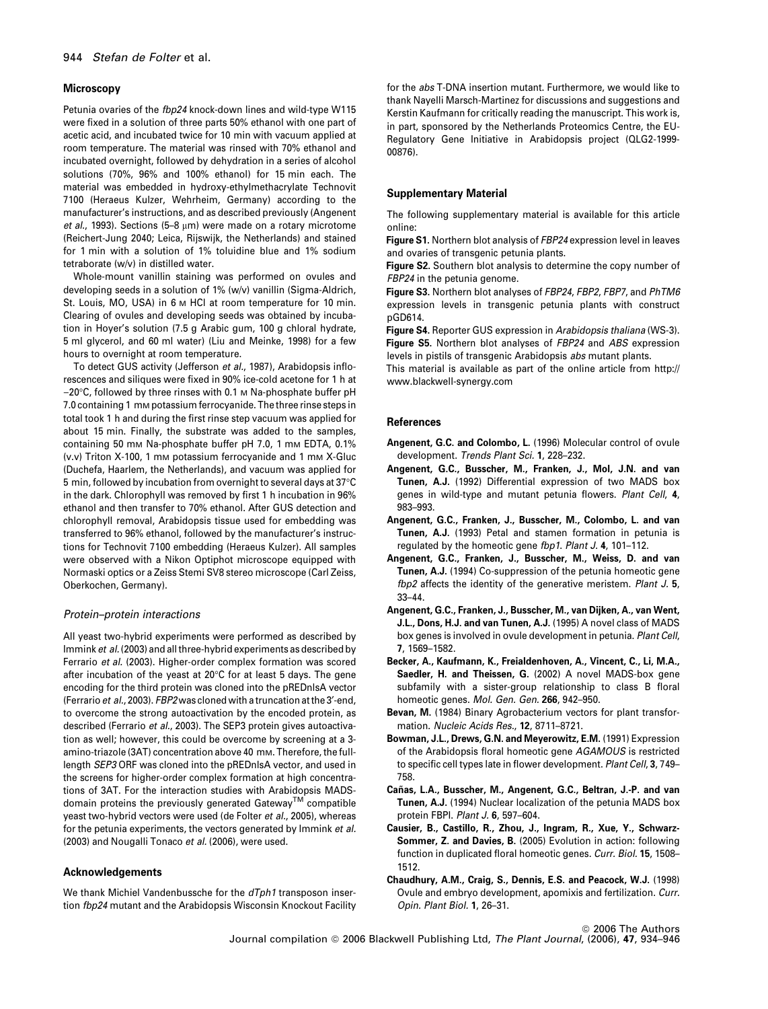# **Microscopy**

Petunia ovaries of the *fbp24* knock-down lines and wild-type W115 were fixed in a solution of three parts 50% ethanol with one part of acetic acid, and incubated twice for 10 min with vacuum applied at room temperature. The material was rinsed with 70% ethanol and incubated overnight, followed by dehydration in a series of alcohol solutions (70%, 96% and 100% ethanol) for 15 min each. The material was embedded in hydroxy-ethylmethacrylate Technovit 7100 (Heraeus Kulzer, Wehrheim, Germany) according to the manufacturer's instructions, and as described previously (Angenent *et al.*, 1993). Sections (5–8 µm) were made on a rotary microtome (Reichert-Jung 2040; Leica, Rijswijk, the Netherlands) and stained for 1 min with a solution of 1% toluidine blue and 1% sodium tetraborate (w/v) in distilled water.

Whole-mount vanillin staining was performed on ovules and developing seeds in a solution of 1% (w/v) vanillin (Sigma-Aldrich, St. Louis, MO, USA) in 6 m HCl at room temperature for 10 min. Clearing of ovules and developing seeds was obtained by incubation in Hoyer's solution (7.5 g Arabic gum, 100 g chloral hydrate, 5 ml glycerol, and 60 ml water) (Liu and Meinke, 1998) for a few hours to overnight at room temperature.

To detect GUS activity (Jefferson *et al.*, 1987), Arabidopsis inflorescences and siliques were fixed in 90% ice-cold acetone for 1 h at -20°C, followed by three rinses with 0.1 M Na-phosphate buffer pH 7.0 containing 1 mm potassium ferrocyanide. The three rinse steps in total took 1 h and during the first rinse step vacuum was applied for about 15 min. Finally, the substrate was added to the samples, containing 50 mm Na-phosphate buffer pH 7.0, 1 mm EDTA, 0.1% (v.v) Triton X-100, 1 mm potassium ferrocyanide and 1 mm X-Gluc (Duchefa, Haarlem, the Netherlands), and vacuum was applied for 5 min, followed by incubation from overnight to several days at 37°C  $\,$ in the dark. Chlorophyll was removed by first 1 h incubation in 96% ethanol and then transfer to 70% ethanol. After GUS detection and chlorophyll removal, Arabidopsis tissue used for embedding was transferred to 96% ethanol, followed by the manufacturer's instructions for Technovit 7100 embedding (Heraeus Kulzer). All samples were observed with a Nikon Optiphot microscope equipped with Normaski optics or a Zeiss Stemi SV8 stereo microscope (Carl Zeiss, Oberkochen, Germany).

# *Protein–protein interactions*

All yeast two-hybrid experiments were performed as described by Immink *et al.*(2003) and all three-hybrid experiments as described by Ferrario *et al.* (2003). Higher-order complex formation was scored after incubation of the yeast at 20°C for at least 5 days. The gene encoding for the third protein was cloned into the pREDnlsA vector (Ferrario *et al.*, 2003). *FBP2* was cloned with a truncation at the 3¢-end, to overcome the strong autoactivation by the encoded protein, as described (Ferrario *et al.*, 2003). The SEP3 protein gives autoactivation as well; however, this could be overcome by screening at a 3 amino-triazole (3AT) concentration above 40 mm. Therefore, the fulllength *SEP3* ORF was cloned into the pREDnlsA vector, and used in the screens for higher-order complex formation at high concentrations of 3AT. For the interaction studies with Arabidopsis MADSdomain proteins the previously generated Gateway<sup>TM</sup> compatible yeast two-hybrid vectors were used (de Folter *et al.*, 2005), whereas for the petunia experiments, the vectors generated by Immink *et al.* (2003) and Nougalli Tonaco *et al.* (2006), were used.

# Acknowledgements

We thank Michiel Vandenbussche for the *dTph1* transposon insertion *fbp24* mutant and the Arabidopsis Wisconsin Knockout Facility for the *abs* T-DNA insertion mutant. Furthermore, we would like to thank Nayelli Marsch-Martinez for discussions and suggestions and Kerstin Kaufmann for critically reading the manuscript. This work is, in part, sponsored by the Netherlands Proteomics Centre, the EU-Regulatory Gene Initiative in Arabidopsis project (QLG2-1999- 00876).

#### Supplementary Material

The following supplementary material is available for this article online:

Figure S1. Northern blot analysis of *FBP24* expression level in leaves and ovaries of transgenic petunia plants.

Figure S2. Southern blot analysis to determine the copy number of *FBP24* in the petunia genome.

Figure S3. Northern blot analyses of *FBP24*, *FBP2*, *FBP7*, and *PhTM6* expression levels in transgenic petunia plants with construct pGD614.

Figure S4. Reporter GUS expression in *Arabidopsis thaliana* (WS-3). Figure S5. Northern blot analyses of *FBP24* and *ABS* expression

levels in pistils of transgenic Arabidopsis *abs* mutant plants. This material is available as part of the online article from http:// www.blackwell-synergy.com

#### References

- Angenent, G.C. and Colombo, L. (1996) Molecular control of ovule development. *Trends Plant Sci.* 1, 228–232.
- Angenent, G.C., Busscher, M., Franken, J., Mol, J.N. and van Tunen, A.J. (1992) Differential expression of two MADS box genes in wild-type and mutant petunia flowers. *Plant Cell*, 4, 983–993.
- Angenent, G.C., Franken, J., Busscher, M., Colombo, L. and van Tunen, A.J. (1993) Petal and stamen formation in petunia is regulated by the homeotic gene *fbp1*. *Plant J.* 4, 101–112.
- Angenent, G.C., Franken, J., Busscher, M., Weiss, D. and van Tunen, A.J. (1994) Co-suppression of the petunia homeotic gene *fbp2* affects the identity of the generative meristem. *Plant J.* 5, 33–44.
- Angenent, G.C., Franken, J., Busscher, M., van Dijken, A., van Went, J.L., Dons, H.J. and van Tunen, A.J. (1995) A novel class of MADS box genes is involved in ovule development in petunia. *Plant Cell*, 7, 1569–1582.
- Becker, A., Kaufmann, K., Freialdenhoven, A., Vincent, C., Li, M.A., Saedler, H. and Theissen, G. (2002) A novel MADS-box gene subfamily with a sister-group relationship to class B floral homeotic genes. *Mol. Gen. Gen.* 266, 942–950.
- Bevan, M. (1984) Binary Agrobacterium vectors for plant transformation. *Nucleic Acids Res.*, 12, 8711–8721.
- Bowman, J.L., Drews, G.N. and Meyerowitz, E.M. (1991) Expression of the Arabidopsis floral homeotic gene *AGAMOUS* is restricted to specific cell types late in flower development. *Plant Cell*, 3, 749– 758.
- Cañas, L.A., Busscher, M., Angenent, G.C., Beltran, J.-P. and van Tunen, A.J. (1994) Nuclear localization of the petunia MADS box protein FBPI. *Plant J.* 6, 597–604.
- Causier, B., Castillo, R., Zhou, J., Ingram, R., Xue, Y., Schwarz-Sommer, Z. and Davies, B. (2005) Evolution in action: following function in duplicated floral homeotic genes. *Curr. Biol.* 15, 1508– 1512.
- Chaudhury, A.M., Craig, S., Dennis, E.S. and Peacock, W.J. (1998) Ovule and embryo development, apomixis and fertilization. *Curr. Opin. Plant Biol.* 1, 26–31.

© 2006 The Authors Journal compilation ª 2006 Blackwell Publishing Ltd, *The Plant Journal*, (2006), 47, 934–946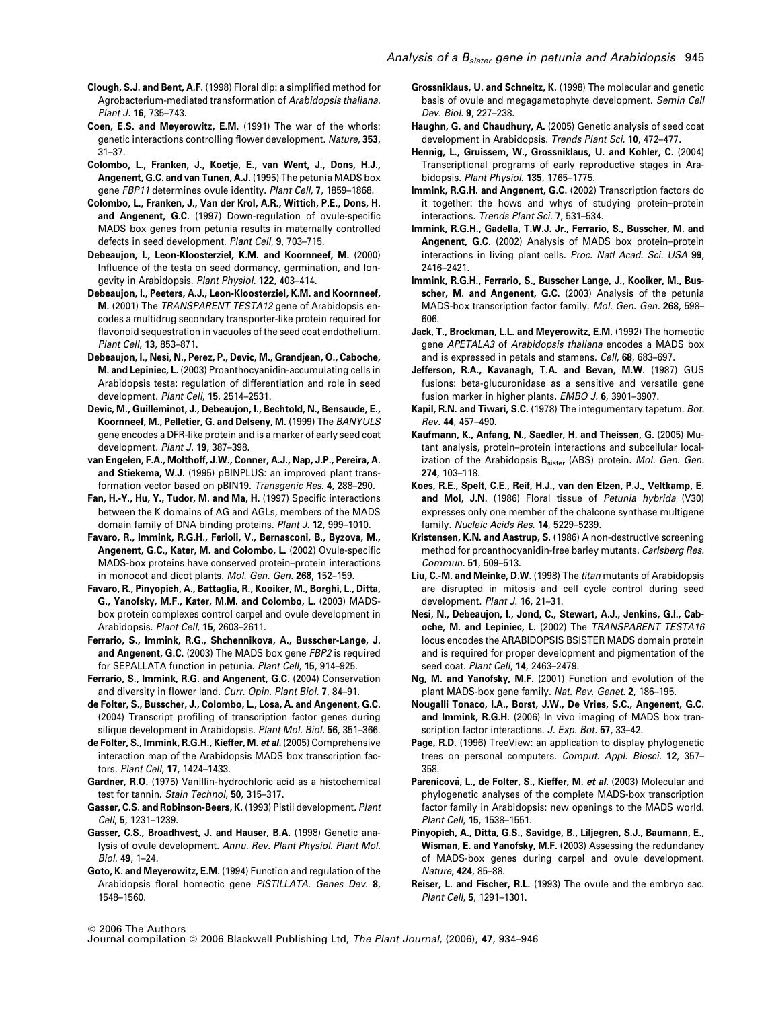- Clough, S.J. and Bent, A.F. (1998) Floral dip: a simplified method for Agrobacterium-mediated transformation of *Arabidopsis thaliana*. *Plant J.* 16, 735–743.
- Coen, E.S. and Meyerowitz, E.M. (1991) The war of the whorls: genetic interactions controlling flower development. *Nature*, 353, 31–37.
- Colombo, L., Franken, J., Koetje, E., van Went, J., Dons, H.J., Angenent, G.C. and van Tunen, A.J. (1995) The petunia MADS box gene *FBP11* determines ovule identity. *Plant Cell*, 7, 1859–1868.
- Colombo, L., Franken, J., Van der Krol, A.R., Wittich, P.E., Dons, H. and Angenent, G.C. (1997) Down-regulation of ovule-specific MADS box genes from petunia results in maternally controlled defects in seed development. *Plant Cell*, 9, 703–715.
- Debeaujon, I., Leon-Kloosterziel, K.M. and Koornneef, M. (2000) Influence of the testa on seed dormancy, germination, and longevity in Arabidopsis. *Plant Physiol.* 122, 403–414.
- Debeaujon, I., Peeters, A.J., Leon-Kloosterziel, K.M. and Koornneef, M. (2001) The *TRANSPARENT TESTA12* gene of Arabidopsis encodes a multidrug secondary transporter-like protein required for flavonoid sequestration in vacuoles of the seed coat endothelium. *Plant Cell*, 13, 853–871.
- Debeaujon, I., Nesi, N., Perez, P., Devic, M., Grandjean, O., Caboche, M. and Lepiniec, L. (2003) Proanthocyanidin-accumulating cells in Arabidopsis testa: regulation of differentiation and role in seed development. *Plant Cell*, 15, 2514–2531.
- Devic, M., Guilleminot, J., Debeaujon, I., Bechtold, N., Bensaude, E., Koornneef, M., Pelletier, G. and Delseny, M. (1999) The *BANYULS* gene encodes a DFR-like protein and is a marker of early seed coat development. *Plant J.* 19, 387–398.
- van Engelen, F.A., Molthoff, J.W., Conner, A.J., Nap, J.P., Pereira, A. and Stiekema, W.J. (1995) pBINPLUS: an improved plant transformation vector based on pBIN19. *Transgenic Res.* 4, 288–290.
- Fan, H.-Y., Hu, Y., Tudor, M. and Ma, H. (1997) Specific interactions between the K domains of AG and AGLs, members of the MADS domain family of DNA binding proteins. *Plant J.* 12, 999–1010.
- Favaro, R., Immink, R.G.H., Ferioli, V., Bernasconi, B., Byzova, M., Angenent, G.C., Kater, M. and Colombo, L. (2002) Ovule-specific MADS-box proteins have conserved protein–protein interactions in monocot and dicot plants. *Mol. Gen. Gen.* 268, 152–159.
- Favaro, R., Pinyopich, A., Battaglia, R., Kooiker, M., Borghi, L., Ditta, G., Yanofsky, M.F., Kater, M.M. and Colombo, L. (2003) MADSbox protein complexes control carpel and ovule development in Arabidopsis. *Plant Cell*, 15, 2603–2611.
- Ferrario, S., Immink, R.G., Shchennikova, A., Busscher-Lange, J. and Angenent, G.C. (2003) The MADS box gene *FBP2* is required for SEPALLATA function in petunia. *Plant Cell*, 15, 914–925.
- Ferrario, S., Immink, R.G. and Angenent, G.C. (2004) Conservation and diversity in flower land. *Curr. Opin. Plant Biol.* 7, 84–91.
- de Folter, S., Busscher, J., Colombo, L., Losa, A. and Angenent, G.C. (2004) Transcript profiling of transcription factor genes during silique development in Arabidopsis. *Plant Mol. Biol.* 56, 351–366.
- de Folter, S., Immink, R.G.H., Kieffer, M. et al. (2005) Comprehensive interaction map of the Arabidopsis MADS box transcription factors. *Plant Cell*, 17, 1424–1433.
- Gardner, R.O. (1975) Vanillin-hydrochloric acid as a histochemical test for tannin. *Stain Technol*, 50, 315–317.
- Gasser, C.S. and Robinson-Beers, K. (1993) Pistil development. *Plant Cell*, 5, 1231–1239.
- Gasser, C.S., Broadhvest, J. and Hauser, B.A. (1998) Genetic analysis of ovule development. *Annu. Rev. Plant Physiol. Plant Mol. Biol.* 49, 1–24.
- Goto, K. and Meyerowitz, E.M. (1994) Function and regulation of the Arabidopsis floral homeotic gene *PISTILLATA*. *Genes Dev.* 8, 1548–1560.
- Grossniklaus, U. and Schneitz, K. (1998) The molecular and genetic basis of ovule and megagametophyte development. *Semin Cell Dev. Biol.* 9, 227–238.
- Haughn, G. and Chaudhury, A. (2005) Genetic analysis of seed coat development in Arabidopsis. *Trends Plant Sci.* 10, 472–477.
- Hennig, L., Gruissem, W., Grossniklaus, U. and Kohler, C. (2004) Transcriptional programs of early reproductive stages in Arabidopsis. *Plant Physiol.* 135, 1765–1775.
- Immink, R.G.H. and Angenent, G.C. (2002) Transcription factors do it together: the hows and whys of studying protein–protein interactions. *Trends Plant Sci.* 7, 531–534.
- Immink, R.G.H., Gadella, T.W.J. Jr., Ferrario, S., Busscher, M. and Angenent, G.C. (2002) Analysis of MADS box protein–protein interactions in living plant cells. *Proc. Natl Acad. Sci. USA* 99, 2416–2421.
- Immink, R.G.H., Ferrario, S., Busscher Lange, J., Kooiker, M., Busscher, M. and Angenent, G.C. (2003) Analysis of the petunia MADS-box transcription factor family. *Mol. Gen. Gen.* 268, 598– 606.
- Jack, T., Brockman, L.L. and Meyerowitz, E.M. (1992) The homeotic gene *APETALA3* of *Arabidopsis thaliana* encodes a MADS box and is expressed in petals and stamens. *Cell*, 68, 683–697.
- Jefferson, R.A., Kavanagh, T.A. and Bevan, M.W. (1987) GUS fusions: beta-glucuronidase as a sensitive and versatile gene fusion marker in higher plants. *EMBO J.* 6, 3901–3907.
- Kapil, R.N. and Tiwari, S.C. (1978) The integumentary tapetum. *Bot. Rev.* 44, 457–490.
- Kaufmann, K., Anfang, N., Saedler, H. and Theissen, G. (2005) Mutant analysis, protein–protein interactions and subcellular localization of the Arabidopsis B<sub>sister</sub> (ABS) protein. *Mol. Gen. Gen.* 274, 103–118.
- Koes, R.E., Spelt, C.E., Reif, H.J., van den Elzen, P.J., Veltkamp, E. and Mol, J.N. (1986) Floral tissue of *Petunia hybrida* (V30) expresses only one member of the chalcone synthase multigene family. *Nucleic Acids Res.* 14, 5229–5239.
- Kristensen, K.N. and Aastrup, S. (1986) A non-destructive screening method for proanthocyanidin-free barley mutants. *Carlsberg Res. Commun.* 51, 509–513.
- Liu, C.-M. and Meinke, D.W. (1998) The *titan* mutants of Arabidopsis are disrupted in mitosis and cell cycle control during seed development. *Plant J.* 16, 21–31.
- Nesi, N., Debeaujon, I., Jond, C., Stewart, A.J., Jenkins, G.I., Caboche, M. and Lepiniec, L. (2002) The *TRANSPARENT TESTA16* locus encodes the ARABIDOPSIS BSISTER MADS domain protein and is required for proper development and pigmentation of the seed coat. *Plant Cell*, 14, 2463–2479.
- Ng, M. and Yanofsky, M.F. (2001) Function and evolution of the plant MADS-box gene family. *Nat. Rev. Genet.* 2, 186–195.
- Nougalli Tonaco, I.A., Borst, J.W., De Vries, S.C., Angenent, G.C. and Immink, R.G.H. (2006) In vivo imaging of MADS box transcription factor interactions. *J. Exp. Bot.* 57, 33–42.
- Page, R.D. (1996) TreeView: an application to display phylogenetic trees on personal computers. *Comput. Appl. Biosci.* 12, 357– 358.
- Parenicová, L., de Folter, S., Kieffer, M. et al. (2003) Molecular and phylogenetic analyses of the complete MADS-box transcription factor family in Arabidopsis: new openings to the MADS world. *Plant Cell*, 15, 1538–1551.
- Pinyopich, A., Ditta, G.S., Savidge, B., Liljegren, S.J., Baumann, E., Wisman, E. and Yanofsky, M.F. (2003) Assessing the redundancy of MADS-box genes during carpel and ovule development. *Nature*, 424, 85–88.
- Reiser, L. and Fischer, R.L. (1993) The ovule and the embryo sac. *Plant Cell*, 5, 1291–1301.

<sup>©</sup> 2006 The Authors

Journal compilation ª 2006 Blackwell Publishing Ltd, *The Plant Journal*, (2006), 47, 934–946